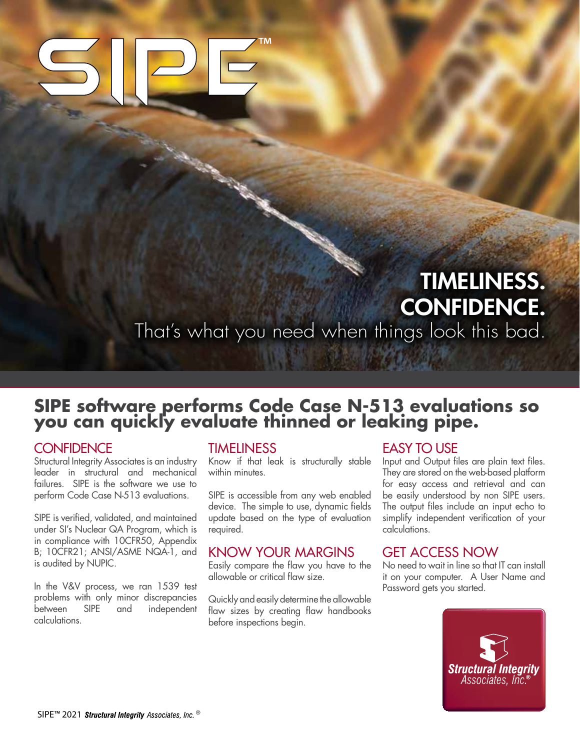## TIMELINESS. CONFIDENCE.

That's what you need when things look this bad.

# **SIPE software performs Code Case N-513 evaluations so you can quickly evaluate thinned or leaking pipe.**

#### **CONFIDENCE**

Structural Integrity Associates is an industry leader in structural and mechanical failures. SIPE is the software we use to perform Code Case N-513 evaluations.

SIPE is verified, validated, and maintained under SI's Nuclear QA Program, which is in compliance with 10CFR50, Appendix B; 10CFR21; ANSI/ASME NQA-1, and is audited by NUPIC.

In the V&V process, we ran 1539 test problems with only minor discrepancies between SIPE and independent calculations.

#### TIMELINESS

Know if that leak is structurally stable within minutes.

SIPE is accessible from any web enabled device. The simple to use, dynamic fields update based on the type of evaluation required.

#### KNOW YOUR MARGINS

Easily compare the flaw you have to the allowable or critical flaw size.

Quickly and easily determine the allowable flaw sizes by creating flaw handbooks before inspections begin.

#### EASY TO USE

Input and Output files are plain text files. They are stored on the web-based platform for easy access and retrieval and can be easily understood by non SIPE users. The output files include an input echo to simplify independent verification of your calculations.

#### GET ACCESS NOW

No need to wait in line so that IT can install it on your computer. A User Name and Password gets you started.